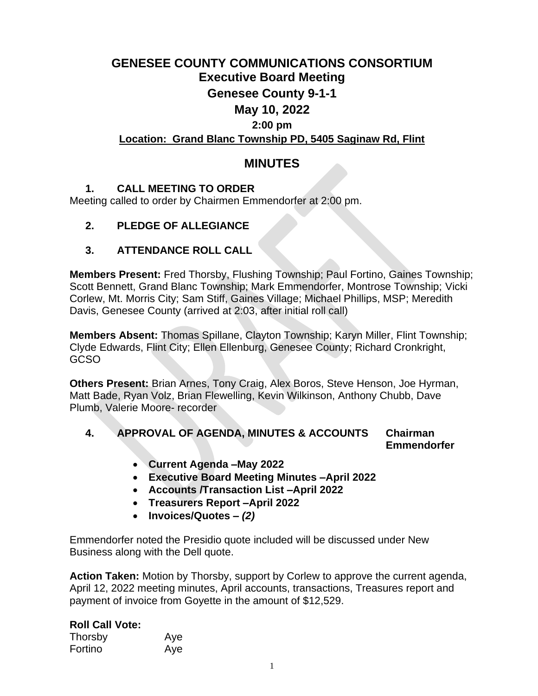## **GENESEE COUNTY COMMUNICATIONS CONSORTIUM Executive Board Meeting Genesee County 9-1-1 May 10, 2022 2:00 pm Location: Grand Blanc Township PD, 5405 Saginaw Rd, Flint**

## **MINUTES**

## **1. CALL MEETING TO ORDER**

Meeting called to order by Chairmen Emmendorfer at 2:00 pm.

## **2. PLEDGE OF ALLEGIANCE**

## **3. ATTENDANCE ROLL CALL**

**Members Present:** Fred Thorsby, Flushing Township; Paul Fortino, Gaines Township; Scott Bennett, Grand Blanc Township; Mark Emmendorfer, Montrose Township; Vicki Corlew, Mt. Morris City; Sam Stiff, Gaines Village; Michael Phillips, MSP; Meredith Davis, Genesee County (arrived at 2:03, after initial roll call)

**Members Absent:** Thomas Spillane, Clayton Township; Karyn Miller, Flint Township; Clyde Edwards, Flint City; Ellen Ellenburg, Genesee County; Richard Cronkright, GCSO

**Others Present:** Brian Arnes, Tony Craig, Alex Boros, Steve Henson, Joe Hyrman, Matt Bade, Ryan Volz, Brian Flewelling, Kevin Wilkinson, Anthony Chubb, Dave Plumb, Valerie Moore- recorder

### **4. APPROVAL OF AGENDA, MINUTES & ACCOUNTS Chairman Emmendorfer**

- **Current Agenda –May 2022**
- **Executive Board Meeting Minutes –April 2022**
- **Accounts /Transaction List –April 2022**
- **Treasurers Report –April 2022**
- **Invoices/Quotes –** *(2)*

Emmendorfer noted the Presidio quote included will be discussed under New Business along with the Dell quote.

**Action Taken:** Motion by Thorsby, support by Corlew to approve the current agenda, April 12, 2022 meeting minutes, April accounts, transactions, Treasures report and payment of invoice from Goyette in the amount of \$12,529.

## **Roll Call Vote:**

| Thorsby | Aye |
|---------|-----|
| Fortino | Aye |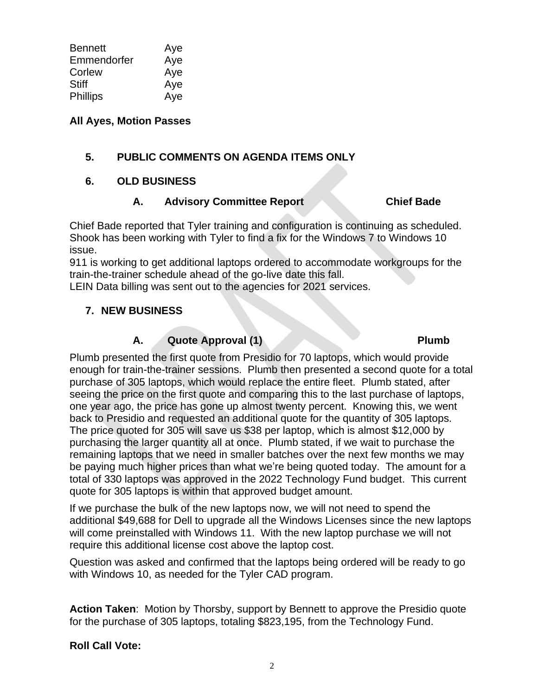| <b>Bennett</b> | Aye |
|----------------|-----|
| Emmendorfer    | Aye |
| Corlew         | Aye |
| Stiff          | Aye |
| Phillips       | Aye |

## **All Ayes, Motion Passes**

## **5. PUBLIC COMMENTS ON AGENDA ITEMS ONLY**

## **6. OLD BUSINESS**

## **A. Advisory Committee Report Chief Bade**

Chief Bade reported that Tyler training and configuration is continuing as scheduled. Shook has been working with Tyler to find a fix for the Windows 7 to Windows 10 issue.

911 is working to get additional laptops ordered to accommodate workgroups for the train-the-trainer schedule ahead of the go-live date this fall.

LEIN Data billing was sent out to the agencies for 2021 services.

## **7. NEW BUSINESS**

## **A. Quote Approval (1) Plumb**

## Plumb presented the first quote from Presidio for 70 laptops, which would provide enough for train-the-trainer sessions. Plumb then presented a second quote for a total purchase of 305 laptops, which would replace the entire fleet. Plumb stated, after seeing the price on the first quote and comparing this to the last purchase of laptops, one year ago, the price has gone up almost twenty percent. Knowing this, we went back to Presidio and requested an additional quote for the quantity of 305 laptops. The price quoted for 305 will save us \$38 per laptop, which is almost \$12,000 by purchasing the larger quantity all at once. Plumb stated, if we wait to purchase the remaining laptops that we need in smaller batches over the next few months we may be paying much higher prices than what we're being quoted today. The amount for a total of 330 laptops was approved in the 2022 Technology Fund budget. This current quote for 305 laptops is within that approved budget amount.

If we purchase the bulk of the new laptops now, we will not need to spend the additional \$49,688 for Dell to upgrade all the Windows Licenses since the new laptops will come preinstalled with Windows 11. With the new laptop purchase we will not require this additional license cost above the laptop cost.

Question was asked and confirmed that the laptops being ordered will be ready to go with Windows 10, as needed for the Tyler CAD program.

**Action Taken**: Motion by Thorsby, support by Bennett to approve the Presidio quote for the purchase of 305 laptops, totaling \$823,195, from the Technology Fund.

## **Roll Call Vote:**

## 2